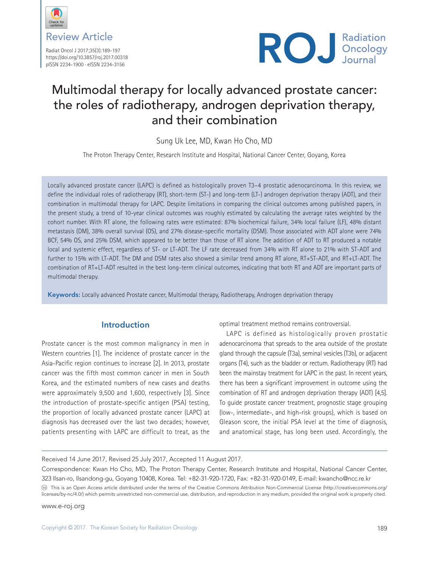

Review Article

Radiat Oncol J 2017;35(3):189-197 https://doi.org/10.3857/roj.2017.00318 pISSN 2234-1900 · eISSN 2234-3156



# Multimodal therapy for locally advanced prostate cancer: the roles of radiotherapy, androgen deprivation therapy, and their combination

Sung Uk Lee, MD, Kwan Ho Cho, MD

The Proton Therapy Center, Research Institute and Hospital, National Cancer Center, Goyang, Korea

Locally advanced prostate cancer (LAPC) is defined as histologically proven T3–4 prostatic adenocarcinoma. In this review, we define the individual roles of radiotherapy (RT), short-term (ST-) and long-term (LT-) androgen deprivation therapy (ADT), and their combination in multimodal therapy for LAPC. Despite limitations in comparing the clinical outcomes among published papers, in the present study, a trend of 10-year clinical outcomes was roughly estimated by calculating the average rates weighted by the cohort number. With RT alone, the following rates were estimated: 87% biochemical failure, 34% local failure (LF), 48% distant metastasis (DM), 38% overall survival (OS), and 27% disease-specific mortality (DSM). Those associated with ADT alone were 74% BCF, 54% OS, and 25% DSM, which appeared to be better than those of RT alone. The addition of ADT to RT produced a notable local and systemic effect, regardless of ST- or LT-ADT. The LF rate decreased from 34% with RT alone to 21% with ST-ADT and further to 15% with LT-ADT. The DM and DSM rates also showed a similar trend among RT alone, RT+ST-ADT, and RT+LT-ADT. The combination of RT+LT-ADT resulted in the best long-term clinical outcomes, indicating that both RT and ADT are important parts of multimodal therapy.

Keywords: Locally advanced Prostate cancer, Multimodal therapy, Radiotherapy, Androgen deprivation therapy

## **Introduction**

Prostate cancer is the most common malignancy in men in Western countries [1]. The incidence of prostate cancer in the Asia-Pacific region continues to increase [2]. In 2013, prostate cancer was the fifth most common cancer in men in South Korea, and the estimated numbers of new cases and deaths were approximately 9,500 and 1,600, respectively [3]. Since the introduction of prostate-specific antigen (PSA) testing, the proportion of locally advanced prostate cancer (LAPC) at diagnosis has decreased over the last two decades; however, patients presenting with LAPC are difficult to treat, as the

optimal treatment method remains controversial.

LAPC is defined as histologically proven prostatic adenocarcinoma that spreads to the area outside of the prostate gland through the capsule (T3a), seminal vesicles (T3b), or adjacent organs (T4), such as the bladder or rectum. Radiotherapy (RT) had been the mainstay treatment for LAPC in the past. In recent years, there has been a significant improvement in outcome using the combination of RT and androgen deprivation therapy (ADT) [4,5]. To guide prostate cancer treatment, prognostic stage grouping (low-, intermediate-, and high-risk groups), which is based on Gleason score, the initial PSA level at the time of diagnosis, and anatomical stage, has long been used. Accordingly, the

Received 14 June 2017, Revised 25 July 2017, Accepted 11 August 2017.

Correspondence: Kwan Ho Cho, MD, The Proton Therapy Center, Research Institute and Hospital, National Cancer Center, 323 Ilsan-ro, Ilsandong-gu, Goyang 10408, Korea. Tel: +82-31-920-1720, Fax: +82-31-920-0149, E-mail: kwancho@ncc.re.kr

This is an Open Access article distributed under the terms of the Creative Commons Attribution Non-Commercial License (http://creativecommons.org/ licenses/by-nc/4.0/) which permits unrestricted non-commercial use, distribution, and reproduction in any medium, provided the original work is properly cited.

www.e-roj.org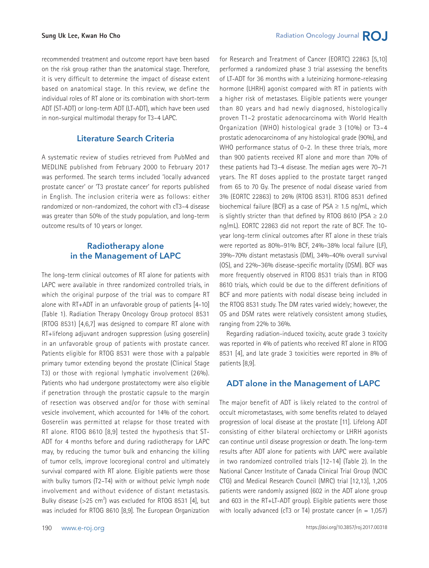recommended treatment and outcome report have been based on the risk group rather than the anatomical stage. Therefore, it is very difficult to determine the impact of disease extent based on anatomical stage. In this review, we define the individual roles of RT alone or its combination with short-term ADT (ST-ADT) or long-term ADT (LT-ADT), which have been used in non-surgical multimodal therapy for T3–4 LAPC.

## **Literature Search Criteria**

A systematic review of studies retrieved from PubMed and MEDLINE published from February 2000 to February 2017 was performed. The search terms included 'locally advanced prostate cancer' or 'T3 prostate cancer' for reports published in English. The inclusion criteria were as follows: either randomized or non-randomized, the cohort with cT3–4 disease was greater than 50% of the study population, and long-term outcome results of 10 years or longer.

## **Radiotherapy alone in the Management of LAPC**

The long-term clinical outcomes of RT alone for patients with LAPC were available in three randomized controlled trials, in which the original purpose of the trial was to compare RT alone with RT+ADT in an unfavorable group of patients [4-10] (Table 1). Radiation Therapy Oncology Group protocol 8531 (RTOG 8531) [4,6,7] was designed to compare RT alone with RT+lifelong adjuvant androgen suppression (using goserelin) in an unfavorable group of patients with prostate cancer. Patients eligible for RTOG 8531 were those with a palpable primary tumor extending beyond the prostate (Clinical Stage T3) or those with regional lymphatic involvement (26%). Patients who had undergone prostatectomy were also eligible if penetration through the prostatic capsule to the margin of resection was observed and/or for those with seminal vesicle involvement, which accounted for 14% of the cohort. Goserelin was permitted at relapse for those treated with RT alone. RTOG 8610 [8,9] tested the hypothesis that ST-ADT for 4 months before and during radiotherapy for LAPC may, by reducing the tumor bulk and enhancing the killing of tumor cells, improve locoregional control and ultimately survival compared with RT alone. Eligible patients were those with bulky tumors (T2–T4) with or without pelvic lymph node involvement and without evidence of distant metastasis. Bulky disease  $(>=25$  cm<sup>2</sup>) was excluded for RTOG 8531 [4], but was included for RTOG 8610 [8,9]. The European Organization

for Research and Treatment of Cancer (EORTC) 22863 [5,10] performed a randomized phase 3 trial assessing the benefits of LT-ADT for 36 months with a luteinizing hormone-releasing hormone (LHRH) agonist compared with RT in patients with a higher risk of metastases. Eligible patients were younger than 80 years and had newly diagnosed, histologically proven T1–2 prostatic adenocarcinoma with World Health Organization (WHO) histological grade 3 (10%) or T3–4 prostatic adenocarcinoma of any histological grade (90%), and WHO performance status of 0-2. In these three trials, more than 900 patients received RT alone and more than 70% of these patients had T3–4 disease. The median ages were 70–71 years. The RT doses applied to the prostate target ranged from 65 to 70 Gy. The presence of nodal disease varied from 3% (EORTC 22863) to 26% (RTOG 8531). RTOG 8531 defined biochemical failure (BCF) as a case of PSA  $\geq$  1.5 ng/mL, which is slightly stricter than that defined by RTOG 8610 (PSA  $\geq$  2.0 ng/mL). EORTC 22863 did not report the rate of BCF. The 10 year long-term clinical outcomes after RT alone in these trials were reported as 80%–91% BCF, 24%–38% local failure (LF), 39%–70% distant metastasis (DM), 34%–40% overall survival (OS), and 22%–36% disease-specific mortality (DSM). BCF was more frequently observed in RTOG 8531 trials than in RTOG 8610 trials, which could be due to the different definitions of BCF and more patients with nodal disease being included in the RTOG 8531 study. The DM rates varied widely; however, the OS and DSM rates were relatively consistent among studies, ranging from 22% to 36%.

Regarding radiation-induced toxicity, acute grade 3 toxicity was reported in 4% of patients who received RT alone in RTOG 8531 [4], and late grade 3 toxicities were reported in 8% of patients [8,9].

## **ADT alone in the Management of LAPC**

The major benefit of ADT is likely related to the control of occult micrometastases, with some benefits related to delayed progression of local disease at the prostate [11]. Lifelong ADT consisting of either bilateral orchiectomy or LHRH agonists can continue until disease progression or death. The long-term results after ADT alone for patients with LAPC were available in two randomized controlled trials [12-14] (Table 2). In the National Cancer Institute of Canada Clinical Trial Group (NCIC CTG) and Medical Research Council (MRC) trial [12,13], 1,205 patients were randomly assigned (602 in the ADT alone group and 603 in the RT+LT-ADT group). Eligible patients were those with locally advanced (cT3 or T4) prostate cancer ( $n = 1,057$ )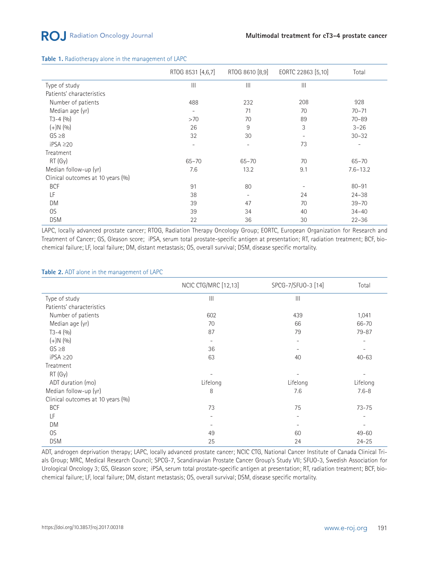|                                   | RTOG 8531 [4,6,7]        | RTOG 8610 [8,9]          | EORTC 22863 [5,10]       | Total                    |
|-----------------------------------|--------------------------|--------------------------|--------------------------|--------------------------|
| Type of study                     | $\mathbf{H}$             | $\mathbb{H}$             | $\mathbf{III}$           |                          |
| Patients' characteristics         |                          |                          |                          |                          |
| Number of patients                | 488                      | 232                      | 208                      | 928                      |
| Median age (yr)                   | $\overline{\phantom{0}}$ | 71                       | 70                       | $70 - 71$                |
| $T3-4(9/0)$                       | >70                      | 70                       | 89                       | $70 - 89$                |
| $(+)N(90)$                        | 26                       | 9                        | 3                        | $3 - 26$                 |
| $GS \geq 8$                       | 32                       | 30                       | $\overline{\phantom{a}}$ | $30 - 32$                |
| $iPSA \geq 20$                    | $\overline{\phantom{a}}$ | $\overline{\phantom{a}}$ | 73                       | $\overline{\phantom{a}}$ |
| Treatment                         |                          |                          |                          |                          |
| RT (Gy)                           | $65 - 70$                | $65 - 70$                | 70                       | $65 - 70$                |
| Median follow-up (yr)             | 7.6                      | 13.2                     | 9.1                      | $7.6 - 13.2$             |
| Clinical outcomes at 10 years (%) |                          |                          |                          |                          |
| <b>BCF</b>                        | 91                       | 80                       |                          | $80 - 91$                |
| LF                                | 38                       | $\overline{\phantom{a}}$ | 24                       | $24 - 38$                |
| <b>DM</b>                         | 39                       | 47                       | 70                       | $39 - 70$                |
| OS.                               | 39                       | 34                       | 40                       | $34 - 40$                |
| <b>DSM</b>                        | 22                       | 36                       | 30                       | $22 - 36$                |

#### **Table 1.** Radiotherapy alone in the management of LAPC

LAPC, locally advanced prostate cancer; RTOG, Radiation Therapy Oncology Group; EORTC, European Organization for Research and Treatment of Cancer; GS, Gleason score; iPSA, serum total prostate-specific antigen at presentation; RT, radiation treatment; BCF, biochemical failure; LF, local failure; DM, distant metastasis; OS, overall survival; DSM, disease specific mortality.

#### **Table 2.** ADT alone in the management of LAPC

|                                   | <b>NCIC CTG/MRC [12,13]</b> | SPCG-7/SFUO-3 [14] | Total     |
|-----------------------------------|-----------------------------|--------------------|-----------|
| Type of study                     | $\mathbb{H}$                | $\mathbf{III}$     |           |
| Patients' characteristics         |                             |                    |           |
| Number of patients                | 602                         | 439                | 1,041     |
| Median age (yr)                   | 70                          | 66                 | 66-70     |
| $T3-4(90)$                        | 87                          | 79                 | 79-87     |
| $(+)N(90)$                        | $\overline{\phantom{a}}$    | -                  |           |
| $GS \geq 8$                       | 36                          |                    |           |
| $iPSA \geq 20$                    | 63                          | 40                 | $40 - 63$ |
| Treatment                         |                             |                    |           |
| RT (Gy)                           |                             |                    |           |
| ADT duration (mo)                 | Lifelong                    | Lifelong           | Lifelong  |
| Median follow-up (yr)             | 8                           | 7.6                | $7.6 - 8$ |
| Clinical outcomes at 10 years (%) |                             |                    |           |
| <b>BCF</b>                        | 73                          | 75                 | $73 - 75$ |
| LF                                | $\overline{\phantom{a}}$    | -                  | ۰         |
| <b>DM</b>                         |                             |                    |           |
| OS                                | 49                          | 60                 | $49 - 60$ |
| <b>DSM</b>                        | 25                          | 24                 | $24 - 25$ |

ADT, androgen deprivation therapy; LAPC, locally advanced prostate cancer; NCIC CTG, National Cancer Institute of Canada Clinical Trials Group; MRC, Medical Research Council; SPCG-7, Scandinavian Prostate Cancer Group's Study VII; SFUO-3, Swedish Association for Urological Oncology 3; GS, Gleason score; iPSA, serum total prostate-specific antigen at presentation; RT, radiation treatment; BCF, biochemical failure; LF, local failure; DM, distant metastasis; OS, overall survival; DSM, disease specific mortality.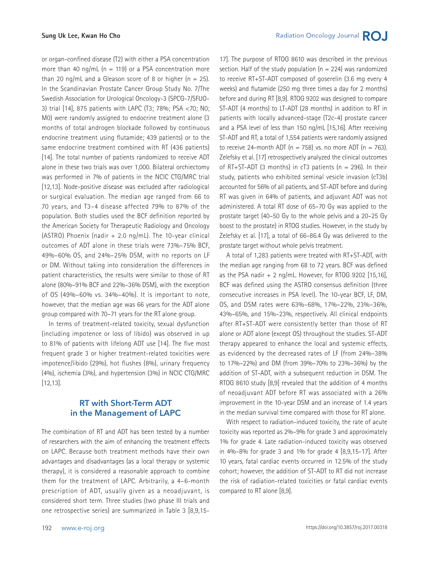or organ-confined disease (T2) with either a PSA concentration more than 40 ng/mL ( $n = 119$ ) or a PSA concentration more than 20 ng/mL and a Gleason score of 8 or higher  $(n = 25)$ . In the Scandinavian Prostate Cancer Group Study No. 7/The Swedish Association for Urological Oncology-3 (SPCG-7/SFUO-3) trial [14], 875 patients with LAPC (T3; 78%; PSA <70; N0; M0) were randomly assigned to endocrine treatment alone (3 months of total androgen blockade followed by continuous endocrine treatment using flutamide; 439 patients) or to the same endocrine treatment combined with RT (436 patients) [14]. The total number of patients randomized to receive ADT alone in these two trials was over 1,000. Bilateral orchiectomy was performed in 7% of patients in the NCIC CTG/MRC trial [12,13]. Node-positive disease was excluded after radiological or surgical evaluation. The median age ranged from 66 to 70 years, and T3–4 disease affected 79% to 87% of the population. Both studies used the BCF definition reported by the American Society for Therapeutic Radiology and Oncology (ASTRO) Phoenix (nadir  $+$  2.0 ng/mL). The 10-year clinical outcomes of ADT alone in these trials were 73%–75% BCF, 49%–60% OS, and 24%–25% DSM, with no reports on LF or DM. Without taking into consideration the differences in patient characteristics, the results were similar to those of RT alone (80%–91% BCF and 22%–36% DSM), with the exception of OS (49%–60% vs. 34%–40%). It is important to note, however, that the median age was 66 years for the ADT alone group compared with 70–71 years for the RT alone group.

In terms of treatment-related toxicity, sexual dysfunction (including impotence or loss of libido) was observed in up to 81% of patients with lifelong ADT use [14]. The five most frequent grade 3 or higher treatment-related toxicities were impotence/libido (29%), hot flushes (8%), urinary frequency (4%), ischemia (3%), and hypertension (3%) in NCIC CTG/MRC [12,13].

## **RT with Short-Term ADT in the Management of LAPC**

The combination of RT and ADT has been tested by a number of researchers with the aim of enhancing the treatment effects on LAPC. Because both treatment methods have their own advantages and disadvantages (as a local therapy or systemic therapy), it is considered a reasonable approach to combine them for the treatment of LAPC. Arbitrarily, a 4–6-month prescription of ADT, usually given as a neoadjuvant, is considered short term. Three studies (two phase III trials and one retrospective series) are summarized in Table 3 [8,9,15-

17]. The purpose of RTOG 8610 was described in the previous section. Half of the study population  $(n = 224)$  was randomized to receive RT+ST-ADT composed of goserelin (3.6 mg every 4 weeks) and flutamide (250 mg three times a day for 2 months) before and during RT [8,9]. RTOG 9202 was designed to compare ST-ADT (4 months) to LT-ADT (28 months) in addition to RT in patients with locally advanced-stage (T2c-4) prostate cancer and a PSA level of less than 150 ng/mL [15,16]. After receiving ST-ADT and RT, a total of 1,554 patients were randomly assigned to receive 24-month ADT ( $n = 758$ ) vs. no more ADT ( $n = 763$ ). Zelefsky et al. [17] retrospectively analyzed the clinical outcomes of RT+ST-ADT (3 months) in cT3 patients ( $n = 296$ ). In their study, patients who exhibited seminal vesicle invasion (cT3b) accounted for 56% of all patients, and ST-ADT before and during RT was given in 64% of patients, and adjuvant ADT was not administered. A total RT dose of 65–70 Gy was applied to the prostate target (40–50 Gy to the whole pelvis and a 20–25 Gy boost to the prostate) in RTOG studies. However, in the study by Zelefsky et al. [17], a total of 66–86.4 Gy was delivered to the prostate target without whole pelvis treatment.

A total of 1,283 patients were treated with RT+ST-ADT, with the median age ranging from 68 to 72 years. BCF was defined as the PSA nadir  $+ 2$  ng/mL. However, for RTOG 9202 [15,16], BCF was defined using the ASTRO consensus definition (three consecutive increases in PSA level). The 10-year BCF, LF, DM, OS, and DSM rates were 63%–68%, 17%–22%, 23%–36%, 43%–65%, and 15%–23%, respectively. All clinical endpoints after RT+ST-ADT were consistently better than those of RT alone or ADT alone (except OS) throughout the studies. ST-ADT therapy appeared to enhance the local and systemic effects, as evidenced by the decreased rates of LF (from 24%–38% to 17%–22%) and DM (from 39%–70% to 23%–36%) by the addition of ST-ADT, with a subsequent reduction in DSM. The RTOG 8610 study [8,9] revealed that the addition of 4 months of neoadjuvant ADT before RT was associated with a 26% improvement in the 10-year DSM and an increase of 1.4 years in the median survival time compared with those for RT alone.

With respect to radiation-induced toxicity, the rate of acute toxicity was reported as 2%–9% for grade 3 and approximately 1% for grade 4. Late radiation-induced toxicity was observed in 4%–8% for grade 3 and 1% for grade 4 [8,9,15-17]. After 10 years, fatal cardiac events occurred in 12.5% of the study cohort; however, the addition of ST-ADT to RT did not increase the risk of radiation-related toxicities or fatal cardiac events compared to RT alone [8,9].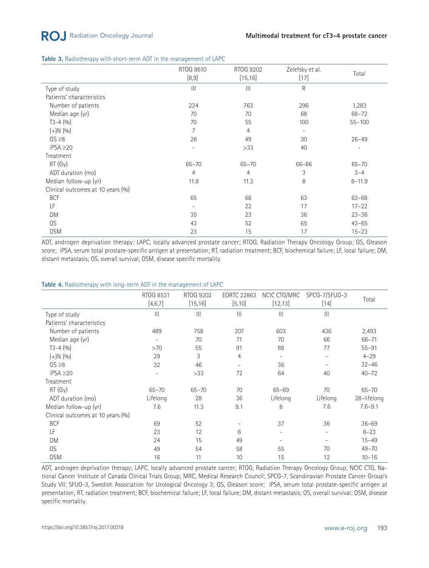## **RO**, Radiation Oncology Journal

#### **Table 3.** Radiotherapy with short-term ADT in the management of LAPC

|                                   | RTOG 8610<br>[8,9]       | RTOG 9202<br>[15, 16]            | Zelefsky et al.<br>$[17]$ | Total                    |
|-----------------------------------|--------------------------|----------------------------------|---------------------------|--------------------------|
| Type of study                     | $\mathbf{III}$           | $\mathop{\mathrm{III}}\nolimits$ | R                         |                          |
| Patients' characteristics         |                          |                                  |                           |                          |
| Number of patients                | 224                      | 763                              | 296                       | 1,283                    |
| Median age (yr)                   | 70                       | 70                               | 68                        | $68 - 72$                |
| $T3-4(9/0)$                       | 70                       | 55                               | 100                       | $55 - 100$               |
| $(+)N(9/0)$                       | $\overline{7}$           | $\overline{4}$                   | $\overline{\phantom{a}}$  |                          |
| $GS \geq 8$                       | 26                       | 49                               | 30                        | $26 - 49$                |
| $iPSA \geq 20$                    | $\overline{\phantom{a}}$ | >33                              | 40                        | $\overline{\phantom{m}}$ |
| Treatment                         |                          |                                  |                           |                          |
| RT(Gy)                            | $65 - 70$                | $65 - 70$                        | 66-86                     | $65 - 70$                |
| ADT duration (mo)                 | $\overline{4}$           | $\overline{4}$                   | 3                         | $3 - 4$                  |
| Median follow-up (yr)             | 11.9                     | 11.3                             | 8                         | $8 - 11.9$               |
| Clinical outcomes at 10 years (%) |                          |                                  |                           |                          |
| <b>BCF</b>                        | 65                       | 68                               | 63                        | $63 - 68$                |
| LF                                | $\overline{\phantom{a}}$ | 22                               | 17                        | $17 - 22$                |
| DM                                | 35                       | 23                               | 36                        | $23 - 36$                |
| OS                                | 43                       | 52                               | 65                        | $43 - 65$                |
| <b>DSM</b>                        | 23                       | 15                               | 17                        | $15 - 23$                |

ADT, androgen deprivation therapy; LAPC, locally advanced prostate cancer; RTOG, Radiation Therapy Oncology Group; GS, Gleason score; iPSA, serum total prostate-specific antigen at presentation; RT, radiation treatment; BCF, biochemical failure; LF, local failure; DM, distant metastasis; OS, overall survival; DSM, disease specific mortality.

#### **Table 4.** Radiotherapy with long-term ADT in the management of LAPC

|                                   | RTOG 8531<br>[4,6,7]     | RTOG 9202<br>[15, 16]   | <b>EORTC 22863</b><br>[5, 10] | NCIC CTG/MRC<br>[12, 13] | SPCG-7/SFUO-3<br>$[14]$ | Total       |
|-----------------------------------|--------------------------|-------------------------|-------------------------------|--------------------------|-------------------------|-------------|
| Type of study                     | $\mathbf{III}$           | $\mathop{III}\nolimits$ | $\mathbf{III}$                | $\mathbf{  }$            | $\mathop{\rm III}$      |             |
| Patients' characteristics         |                          |                         |                               |                          |                         |             |
| Number of patients                | 489                      | 758                     | 207                           | 603                      | 436                     | 2,493       |
| Median age (yr)                   | $\overline{\phantom{a}}$ | 70                      | 71                            | 70                       | 66                      | $66 - 71$   |
| $T3-4(9/0)$                       | >70                      | 55                      | 91                            | 88                       | 77                      | $55 - 91$   |
| $(+)N(90)$                        | 29                       | 3                       | 4                             | $\overline{\phantom{a}}$ | $\qquad \qquad -$       | $4 - 29$    |
| $GS \geq 8$                       | 32                       | 46                      | $\overline{\phantom{a}}$      | 36                       |                         | $32 - 46$   |
| $iPSA \geq 20$                    | $\overline{\phantom{a}}$ | >33                     | 72                            | 64                       | 40                      | $40 - 72$   |
| Treatment                         |                          |                         |                               |                          |                         |             |
| RT(Gy)                            | $65 - 70$                | $65 - 70$               | 70                            | $65 - 69$                | 70                      | $65 - 70$   |
| ADT duration (mo)                 | Lifelong                 | 28                      | 36                            | Lifelong                 | Lifelong                | 28-lifelong |
| Median follow-up (yr)             | 7.6                      | 11.3                    | 9.1                           | 8                        | 7.6                     | $7.6 - 9.1$ |
| Clinical outcomes at 10 years (%) |                          |                         |                               |                          |                         |             |
| <b>BCF</b>                        | 69                       | 52                      |                               | 37                       | 36                      | $36 - 69$   |
| LF                                | 23                       | 12                      | 6                             | $\qquad \qquad -$        | ٠                       | $6 - 23$    |
| <b>DM</b>                         | 24                       | 15                      | 49                            |                          |                         | $15 - 49$   |
| OS                                | 49                       | 54                      | 58                            | 55                       | 70                      | $49 - 70$   |
| <b>DSM</b>                        | 16                       | 11                      | 10                            | 15                       | 12                      | $10 - 16$   |

ADT, androgen deprivation therapy; LAPC, locally advanced prostate cancer; RTOG, Radiation Therapy Oncology Group; NCIC CTG, National Cancer Institute of Canada Clinical Trials Group; MRC, Medical Research Council; SPCG-7, Scandinavian Prostate Cancer Group's Study VII; SFUO-3, Swedish Association for Urological Oncology 3; GS, Gleason score; iPSA, serum total prostate-specific antigen at presentation; RT, radiation treatment; BCF, biochemical failure; LF, local failure; DM, distant metastasis; OS, overall survival; DSM, disease specific mortality.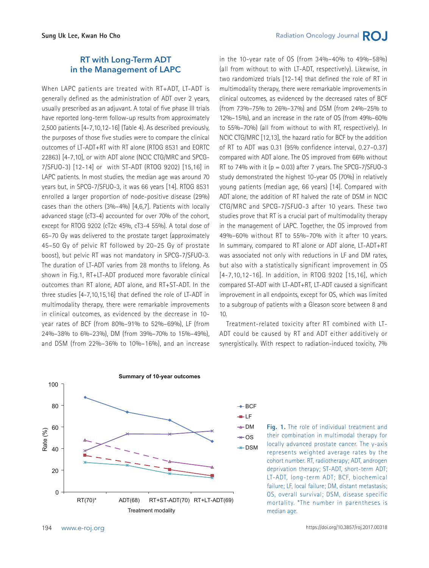## **RT with Long-Term ADT in the Management of LAPC**

When LAPC patients are treated with RT+ADT, LT-ADT is generally defined as the administration of ADT over 2 years, usually prescribed as an adjuvant. A total of five phase III trials have reported long-term follow-up results from approximately 2,500 patients [4-7,10,12-16] (Table 4). As described previously, the purposes of those five studies were to compare the clinical outcomes of LT-ADT+RT with RT alone (RTOG 8531 and EORTC 22863) [4-7,10], or with ADT alone (NCIC CTG/MRC and SPCG-7/SFUO-3) [12-14] or with ST-ADT (RTOG 9202) [15,16] in LAPC patients. In most studies, the median age was around 70 years but, in SPCG-7/SFUO-3, it was 66 years [14]. RTOG 8531 enrolled a larger proportion of node-positive disease (29%) cases than the others (3%–4%) [4,6,7]. Patients with locally advanced stage (cT3-4) accounted for over 70% of the cohort, except for RTOG 9202 (cT2c 45%, cT3-4 55%). A total dose of 65–70 Gy was delivered to the prostate target (approximately 45–50 Gy of pelvic RT followed by 20–25 Gy of prostate boost), but pelvic RT was not mandatory in SPCG-7/SFUO-3. The duration of LT-ADT varies from 28 months to lifelong. As shown in Fig.1, RT+LT-ADT produced more favorable clinical outcomes than RT alone, ADT alone, and RT+ST-ADT. In the three studies [4-7,10,15,16] that defined the role of LT-ADT in multimodality therapy, there were remarkable improvements in clinical outcomes, as evidenced by the decrease in 10 year rates of BCF (from 80%–91% to 52%–69%), LF (from 24%–38% to 6%–23%), DM (from 39%–70% to 15%–49%), and DSM (from 22%–36% to 10%–16%), and an increase in the 10-year rate of OS (from 34%–40% to 49%–58%) (all from without to with LT-ADT, respectively). Likewise, in two randomized trials [12-14] that defined the role of RT in multimodality therapy, there were remarkable improvements in clinical outcomes, as evidenced by the decreased rates of BCF (from 73%–75% to 26%–37%) and DSM (from 24%–25% to 12%–15%), and an increase in the rate of OS (from 49%–60% to 55%–70%) (all from without to with RT, respectively). In NCIC CTG/MRC [12,13], the hazard ratio for BCF by the addition of RT to ADT was 0.31 (95% confidence interval, 0.27–0.37) compared with ADT alone. The OS improved from 66% without RT to 74% with it ( $p = 0.03$ ) after 7 years. The SPCG-7/SFUO-3 study demonstrated the highest 10-year OS (70%) in relatively young patients (median age, 66 years) [14]. Compared with ADT alone, the addition of RT halved the rate of DSM in NCIC CTG/MRC and SPCG-7/SFUO-3 after 10 years. These two studies prove that RT is a crucial part of multimodality therapy in the management of LAPC. Together, the OS improved from 49%–60% without RT to 55%–70% with it after 10 years. In summary, compared to RT alone or ADT alone, LT-ADT+RT was associated not only with reductions in LF and DM rates, but also with a statistically significant improvement in OS [4-7,10,12-16]. In addition, in RTOG 9202 [15,16], which compared ST-ADT with LT-ADT+RT, LT-ADT caused a significant improvement in all endpoints, except for OS, which was limited to a subgroup of patients with a Gleason score between 8 and 10.

Treatment-related toxicity after RT combined with LT-ADT could be caused by RT and ADT either additively or synergistically. With respect to radiation-induced toxicity, 7%



LF

**Fig. 1.** The role of individual treatment and their combination in multimodal therapy for locally advanced prostate cancer. The y-axis represents weighted average rates by the cohort number. RT, radiotherapy; ADT, androgen deprivation therapy; ST-ADT, short-term ADT; LT-ADT, long-term ADT; BCF, biochemical failure; LF, local failure; DM, distant metastasis; OS, overall survival; DSM, disease specific mortality. \*The number in parentheses is median age.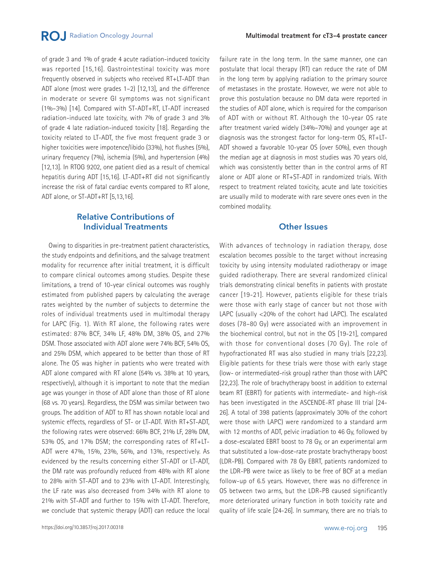of grade 3 and 1% of grade 4 acute radiation-induced toxicity was reported [15,16]. Gastrointestinal toxicity was more frequently observed in subjects who received RT+LT-ADT than ADT alone (most were grades 1–2) [12,13], and the difference in moderate or severe GI symptoms was not significant (1%–3%) [14]. Compared with ST-ADT+RT, LT-ADT increased radiation-induced late toxicity, with 7% of grade 3 and 3% of grade 4 late radiation-induced toxicity [18]. Regarding the toxicity related to LT-ADT, the five most frequent grade 3 or higher toxicities were impotence/libido (33%), hot flushes (5%), urinary frequency (7%), ischemia (5%), and hypertension (4%) [12,13]. In RTOG 9202, one patient died as a result of chemical hepatitis during ADT [15,16]. LT-ADT+RT did not significantly increase the risk of fatal cardiac events compared to RT alone, ADT alone, or ST-ADT+RT [5,13,16].

## **Relative Contributions of Individual Treatments**

Owing to disparities in pre-treatment patient characteristics, the study endpoints and definitions, and the salvage treatment modality for recurrence after initial treatment, it is difficult to compare clinical outcomes among studies. Despite these limitations, a trend of 10-year clinical outcomes was roughly estimated from published papers by calculating the average rates weighted by the number of subjects to determine the roles of individual treatments used in multimodal therapy for LAPC (Fig. 1). With RT alone, the following rates were estimated: 87% BCF, 34% LF, 48% DM, 38% OS, and 27% DSM. Those associated with ADT alone were 74% BCF, 54% OS, and 25% DSM, which appeared to be better than those of RT alone. The OS was higher in patients who were treated with ADT alone compared with RT alone (54% vs. 38% at 10 years, respectively), although it is important to note that the median age was younger in those of ADT alone than those of RT alone (68 vs. 70 years). Regardless, the DSM was similar between two groups. The addition of ADT to RT has shown notable local and systemic effects, regardless of ST- or LT-ADT. With RT+ST-ADT, the following rates were observed: 66% BCF, 21% LF, 28% DM, 53% OS, and 17% DSM; the corresponding rates of RT+LT-ADT were 47%, 15%, 23%, 56%, and 13%, respectively. As evidenced by the results concerning either ST-ADT or LT-ADT, the DM rate was profoundly reduced from 48% with RT alone to 28% with ST-ADT and to 23% with LT-ADT. Interestingly, the LF rate was also decreased from 34% with RT alone to 21% with ST-ADT and further to 15% with LT-ADT. Therefore, we conclude that systemic therapy (ADT) can reduce the local failure rate in the long term. In the same manner, one can postulate that local therapy (RT) can reduce the rate of DM in the long term by applying radiation to the primary source of metastases in the prostate. However, we were not able to prove this postulation because no DM data were reported in the studies of ADT alone, which is required for the comparison of ADT with or without RT. Although the 10-year OS rate after treatment varied widely (34%–70%) and younger age at diagnosis was the strongest factor for long-term OS, RT+LT-ADT showed a favorable 10-year OS (over 50%), even though the median age at diagnosis in most studies was 70 years old, which was consistently better than in the control arms of RT alone or ADT alone or RT+ST-ADT in randomized trials. With respect to treatment related toxicity, acute and late toxicities are usually mild to moderate with rare severe ones even in the combined modality.

#### **Other Issues**

With advances of technology in radiation therapy, dose escalation becomes possible to the target without increasing toxicity by using intensity modulated radiotherapy or image guided radiotherapy. There are several randomized clinical trials demonstrating clinical benefits in patients with prostate cancer [19-21]. However, patients eligible for these trials were those with early stage of cancer but not those with LAPC (usually <20% of the cohort had LAPC). The escalated doses (78–80 Gy) were associated with an improvement in the biochemical control, but not in the OS [19-21], compared with those for conventional doses (70 Gy). The role of hypofractionated RT was also studied in many trials [22,23]. Eligible patients for these trials were those with early stage (low- or intermediated-risk group) rather than those with LAPC [22,23]. The role of brachytherapy boost in addition to external beam RT (EBRT) for patients with intermediate- and high-risk has been investigated in the ASCENDE-RT phase III trial [24- 26]. A total of 398 patients (approximately 30% of the cohort were those with LAPC) were randomized to a standard arm with 12 months of ADT, pelvic irradiation to 46 Gy, followed by a dose-escalated EBRT boost to 78 Gy, or an experimental arm that substituted a low-dose-rate prostate brachytherapy boost (LDR-PB). Compared with 78 Gy EBRT, patients randomized to the LDR-PB were twice as likely to be free of BCF at a median follow-up of 6.5 years. However, there was no difference in OS between two arms, but the LDR-PB caused significantly more deteriorated urinary function in both toxicity rate and quality of life scale [24-26]. In summary, there are no trials to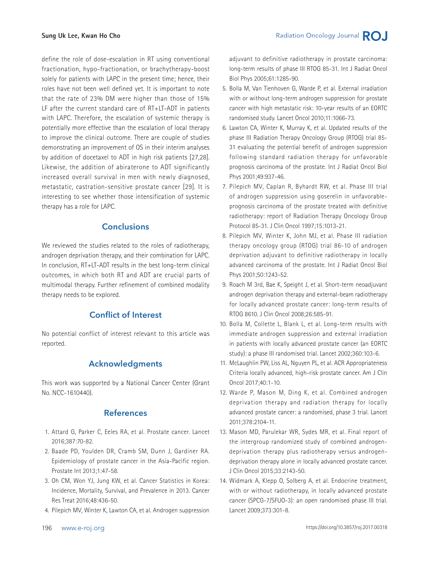define the role of dose-escalation in RT using conventional fractionation, hypo-fractionation, or brachytherapy-boost solely for patients with LAPC in the present time; hence, their roles have not been well defined yet. It is important to note that the rate of 23% DM were higher than those of 15% LF after the current standard care of RT+LT-ADT in patients with LAPC. Therefore, the escalation of systemic therapy is potentially more effective than the escalation of local therapy to improve the clinical outcome. There are couple of studies demonstrating an improvement of OS in their interim analyses by addition of docetaxel to ADT in high risk patients [27,28]. Likewise, the addition of abiraterone to ADT significantly increased overall survival in men with newly diagnosed, metastatic, castration-sensitive prostate cancer [29]. It is interesting to see whether those intensification of systemic therapy has a role for LAPC.

## **Conclusions**

We reviewed the studies related to the roles of radiotherapy, androgen deprivation therapy, and their combination for LAPC. In conclusion, RT+LT-ADT results in the best long-term clinical outcomes, in which both RT and ADT are crucial parts of multimodal therapy. Further refinement of combined modality therapy needs to be explored.

## **Conflict of Interest**

No potential conflict of interest relevant to this article was reported.

## **Acknowledgments**

This work was supported by a National Cancer Center (Grant No. NCC-1610440).

## **References**

- 1. Attard G, Parker C, Eeles RA, et al. Prostate cancer. Lancet 2016;387:70-82.
- 2. Baade PD, Youlden DR, Cramb SM, Dunn J, Gardiner RA. Epidemiology of prostate cancer in the Asia-Pacific region. Prostate Int 2013;1:47-58.
- 3. Oh CM, Won YJ, Jung KW, et al. Cancer Statistics in Korea: Incidence, Mortality, Survival, and Prevalence in 2013. Cancer Res Treat 2016;48:436-50.
- 4. Pilepich MV, Winter K, Lawton CA, et al. Androgen suppression

adjuvant to definitive radiotherapy in prostate carcinoma: long-term results of phase III RTOG 85-31. Int J Radiat Oncol Biol Phys 2005;61:1285-90.

- 5. Bolla M, Van Tienhoven G, Warde P, et al. External irradiation with or without long-term androgen suppression for prostate cancer with high metastatic risk: 10-year results of an EORTC randomised study. Lancet Oncol 2010;11:1066-73.
- 6. Lawton CA, Winter K, Murray K, et al. Updated results of the phase III Radiation Therapy Oncology Group (RTOG) trial 85- 31 evaluating the potential benefit of androgen suppression following standard radiation therapy for unfavorable prognosis carcinoma of the prostate. Int J Radiat Oncol Biol Phys 2001;49:937-46.
- 7. Pilepich MV, Caplan R, Byhardt RW, et al. Phase III trial of androgen suppression using goserelin in unfavorableprognosis carcinoma of the prostate treated with definitive radiotherapy: report of Radiation Therapy Oncology Group Protocol 85-31. J Clin Oncol 1997;15:1013-21.
- 8. Pilepich MV, Winter K, John MJ, et al. Phase III radiation therapy oncology group (RTOG) trial 86-10 of androgen deprivation adjuvant to definitive radiotherapy in locally advanced carcinoma of the prostate. Int J Radiat Oncol Biol Phys 2001;50:1243-52.
- 9. Roach M 3rd, Bae K, Speight J, et al. Short-term neoadjuvant androgen deprivation therapy and external-beam radiotherapy for locally advanced prostate cancer: long-term results of RTOG 8610. J Clin Oncol 2008;26:585-91.
- 10. Bolla M, Collette L, Blank L, et al. Long-term results with immediate androgen suppression and external irradiation in patients with locally advanced prostate cancer (an EORTC study): a phase III randomised trial. Lancet 2002;360:103-6.
- 11. McLaughlin PW, Liss AL, Nguyen PL, et al. ACR Appropriateness Criteria locally advanced, high-risk prostate cancer. Am J Clin Oncol 2017;40:1-10.
- 12. Warde P, Mason M, Ding K, et al. Combined androgen deprivation therapy and radiation therapy for locally advanced prostate cancer: a randomised, phase 3 trial. Lancet 2011;378:2104-11.
- 13. Mason MD, Parulekar WR, Sydes MR, et al. Final report of the intergroup randomized study of combined androgendeprivation therapy plus radiotherapy versus androgendeprivation therapy alone in locally advanced prostate cancer. J Clin Oncol 2015;33:2143-50.
- 14. Widmark A, Klepp O, Solberg A, et al. Endocrine treatment, with or without radiotherapy, in locally advanced prostate cancer (SPCG-7/SFUO-3): an open randomised phase III trial. Lancet 2009;373:301-8.